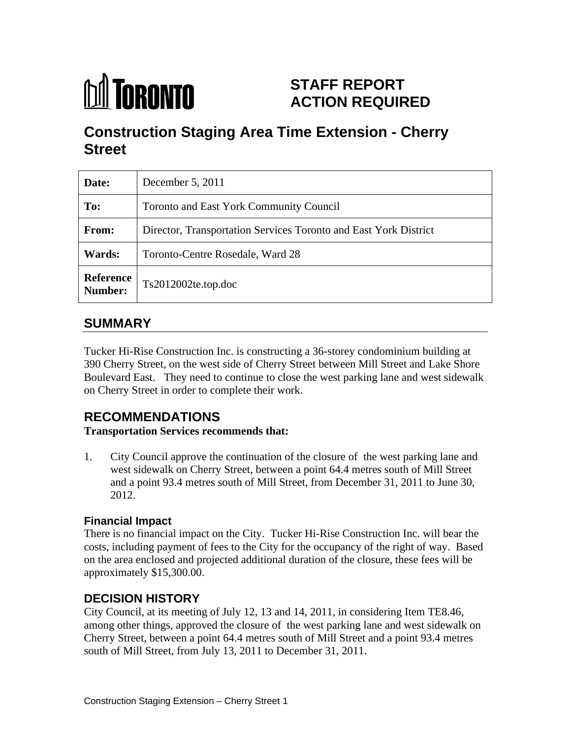

# **STAFF REPORT ACTION REQUIRED**

# **Construction Staging Area Time Extension - Cherry Street**

| Date:         | December 5, 2011                                                 |
|---------------|------------------------------------------------------------------|
| To:           | Toronto and East York Community Council                          |
| From:         | Director, Transportation Services Toronto and East York District |
| <b>Wards:</b> | Toronto-Centre Rosedale, Ward 28                                 |
|               | Reference Ts2012002te.top.doc                                    |

# **SUMMARY**

Tucker Hi-Rise Construction Inc. is constructing a 36-storey condominium building at 390 Cherry Street, on the west side of Cherry Street between Mill Street and Lake Shore Boulevard East. They need to continue to close the west parking lane and west sidewalk on Cherry Street in order to complete their work.

# **RECOMMENDATIONS**

**Transportation Services recommends that:**

1. City Council approve the continuation of the closure of the west parking lane and west sidewalk on Cherry Street, between a point 64.4 metres south of Mill Street and a point 93.4 metres south of Mill Street, from December 31, 2011 to June 30, 2012.

#### **Financial Impact**

There is no financial impact on the City. Tucker Hi-Rise Construction Inc. will bear the costs, including payment of fees to the City for the occupancy of the right of way. Based on the area enclosed and projected additional duration of the closure, these fees will be approximately \$15,300.00.

## **DECISION HISTORY**

City Council, at its meeting of July 12, 13 and 14, 2011, in considering Item TE8.46, among other things, approved the closure of the west parking lane and west sidewalk on Cherry Street, between a point 64.4 metres south of Mill Street and a point 93.4 metres south of Mill Street, from July 13, 2011 to December 31, 2011.